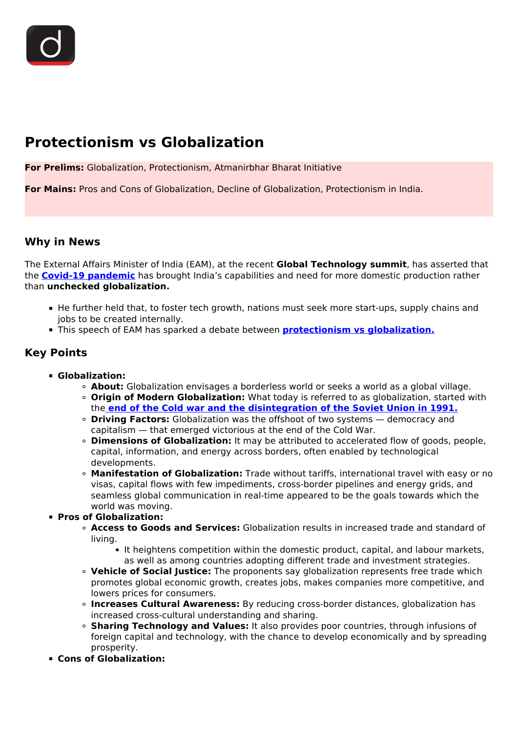# **Protectionism vs Globalization**

**For Prelims:** Globalization, Protectionism, Atmanirbhar Bharat Initiative

**For Mains:** Pros and Cons of Globalization, Decline of Globalization, Protectionism in India.

## **Why in News**

The External Affairs Minister of India (EAM), at the recent **Global Technology summit**, has asserted that the **[Covid-19 pandemic](/daily-updates/daily-news-editorials/covid-19-and-globalization)** has brought India's capabilities and need for more domestic production rather than **unchecked globalization.**

- He further held that, to foster tech growth, nations must seek more start-ups, supply chains and jobs to be created internally.
- This speech of EAM has sparked a debate between **[protectionism vs globalization.](/daily-updates/daily-news-editorials/is-globalization-dying)**

## **Key Points**

- **Globalization:**
	- **About:** Globalization envisages a borderless world or seeks a world as a global village.
	- **Origin of Modern Globalization:** What today is referred to as globalization, started with the **[end of the Cold war and the disintegration of the Soviet Union in 1991.](/to-the-points/paper1/cold-war)**
	- **Driving Factors:** Globalization was the offshoot of two systems democracy and capitalism — that emerged victorious at the end of the Cold War.
	- **Dimensions of Globalization:** It may be attributed to accelerated flow of goods, people, capital, information, and energy across borders, often enabled by technological developments.
	- **Manifestation of Globalization:** Trade without tariffs, international travel with easy or no visas, capital flows with few impediments, cross-border pipelines and energy grids, and seamless global communication in real-time appeared to be the goals towards which the world was moving.
- **Pros of Globalization:**
	- **Access to Goods and Services:** Globalization results in increased trade and standard of living.
		- It heightens competition within the domestic product, capital, and labour markets, as well as among countries adopting different trade and investment strategies.
	- **Vehicle of Social Justice:** The proponents say globalization represents free trade which promotes global economic growth, creates jobs, makes companies more competitive, and lowers prices for consumers.
	- **Increases Cultural Awareness:** By reducing cross-border distances, globalization has increased cross-cultural understanding and sharing.
	- **Sharing Technology and Values:** It also provides poor countries, through infusions of foreign capital and technology, with the chance to develop economically and by spreading prosperity.
- **Cons of Globalization:**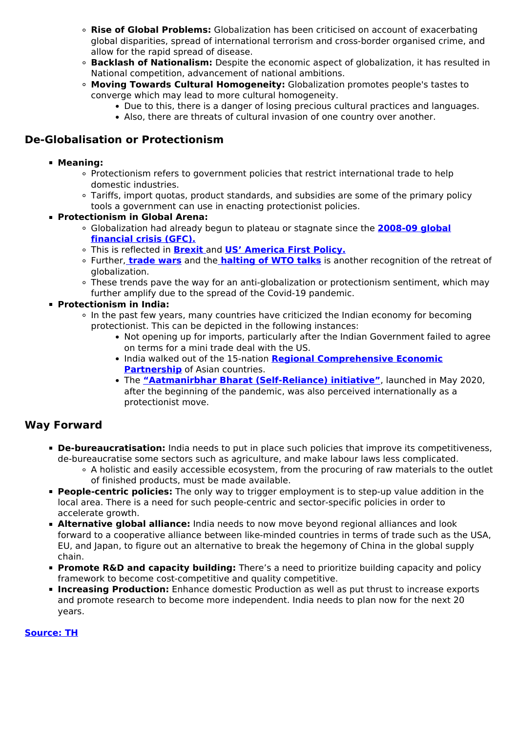- **Rise of Global Problems:** Globalization has been criticised on account of exacerbating global disparities, spread of international terrorism and cross-border organised crime, and allow for the rapid spread of disease.
- **Backlash of Nationalism:** Despite the economic aspect of globalization, it has resulted in National competition, advancement of national ambitions.
- **Moving Towards Cultural Homogeneity:** Globalization promotes people's tastes to converge which may lead to more cultural homogeneity.
	- Due to this, there is a danger of losing precious cultural practices and languages.
	- Also, there are threats of cultural invasion of one country over another.

# **De-Globalisation or Protectionism**

#### **Meaning:**

- Protectionism refers to government policies that restrict international trade to help domestic industries.
- Tariffs, import quotas, product standards, and subsidies are some of the primary policy tools a government can use in enacting protectionist policies.
- **Protectionism in Global Arena:**
	- Globalization had already begun to plateau or stagnate since the **[2008-09 global](/daily-updates/daily-news-editorials/understanding-financial=-crisis-of-2007-08) [financial crisis \(GFC\).](/daily-updates/daily-news-editorials/understanding-financial=-crisis-of-2007-08)**
	- This is reflected in **[Brexit](/daily-updates/daily-news-editorials/impact-of-brexit)** [a](/daily-updates/daily-news-editorials/impact-of-brexit)nd **[US' America First Policy.](/current-affairs-news-analysis-editorials/news-editorials/28-06-2019)**
	- Further, **[trade wars](/daily-updates/daily-news-editorials/global-trade-war-the-apology-of-protectionism)** and the **[halting of WTO talks](/daily-updates/daily-news-editorials/the-wto-is-it%20all-over-or-can-something-be-done)** is another recognition of the retreat of globalization.
	- These trends pave the way for an anti-globalization or protectionism sentiment, which may further amplify due to the spread of the Covid-19 pandemic.

#### **Protectionism in India:**

- In the past few years, many countries have criticized the Indian economy for becoming protectionist. This can be depicted in the following instances:
	- Not opening up for imports, particularly after the Indian Government failed to agree on terms for a mini trade deal with the US.
	- **India walked out of the 15-nation [Regional Comprehensive Economic](/daily-updates/daily-news-editorials/rcep-india) [Partnership](/daily-updates/daily-news-editorials/rcep-india)** of Asian countries.
	- The **["Aatmanirbhar Bharat \(Self-Reliance\) initiative"](/daily-updates/daily-news-analysis/atmanirbhar-bharat-and-economic-stimulus)**, launched in May 2020, after the beginning of the pandemic, was also perceived internationally as a protectionist move.

## **Way Forward**

- **De-bureaucratisation:** India needs to put in place such policies that improve its competitiveness, de-bureaucratise some sectors such as agriculture, and make labour laws less complicated.
	- A holistic and easily accessible ecosystem, from the procuring of raw materials to the outlet of finished products, must be made available.
- **People-centric policies:** The only way to trigger employment is to step-up value addition in the local area. There is a need for such people-centric and sector-specific policies in order to accelerate growth.
- **Alternative global alliance:** India needs to now move beyond regional alliances and look forward to a cooperative alliance between like-minded countries in terms of trade such as the USA, EU, and Japan, to figure out an alternative to break the hegemony of China in the global supply chain.
- **Promote R&D and capacity building:** There's a need to prioritize building capacity and policy framework to become cost-competitive and quality competitive.
- **Increasing Production:** Enhance domestic Production as well as put thrust to increase exports and promote research to become more independent. India needs to plan now for the next 20 years.

## **[Source: TH](https://www.thehindu.com/news/national/jaishankar-bats-for-domestic-production-over-unchecked-globalisation/article37955457.ece)**